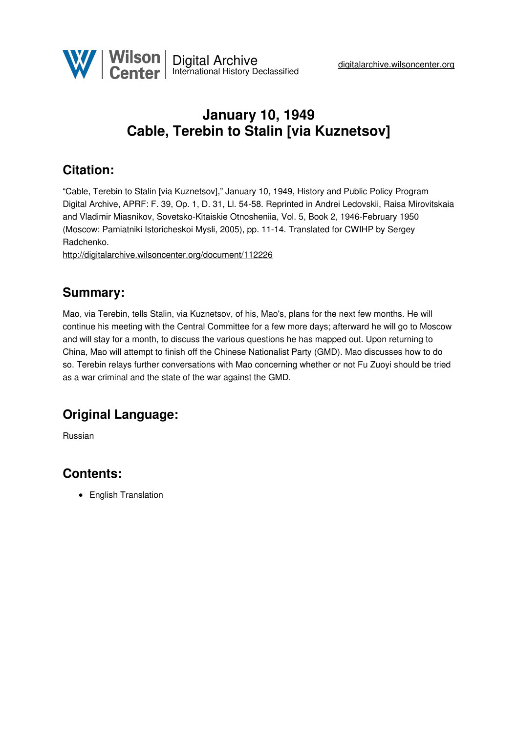

# **January 10, 1949 Cable, Terebin to Stalin [via Kuznetsov]**

## **Citation:**

"Cable, Terebin to Stalin [via Kuznetsov]," January 10, 1949, History and Public Policy Program Digital Archive, APRF: F. 39, Op. 1, D. 31, Ll. 54-58. Reprinted in Andrei Ledovskii, Raisa Mirovitskaia and Vladimir Miasnikov, Sovetsko-Kitaiskie Otnosheniia, Vol. 5, Book 2, 1946-February 1950 (Moscow: Pamiatniki Istoricheskoi Mysli, 2005), pp. 11-14. Translated for CWIHP by Sergey Radchenko.

<http://digitalarchive.wilsoncenter.org/document/112226>

#### **Summary:**

Mao, via Terebin, tells Stalin, via Kuznetsov, of his, Mao's, plans for the next few months. He will continue his meeting with the Central Committee for a few more days; afterward he will go to Moscow and will stay for a month, to discuss the various questions he has mapped out. Upon returning to China, Mao will attempt to finish off the Chinese Nationalist Party (GMD). Mao discusses how to do so. Terebin relays further conversations with Mao concerning whether or not Fu Zuoyi should be tried as a war criminal and the state of the war against the GMD.

### **Original Language:**

Russian

#### **Contents:**

• English Translation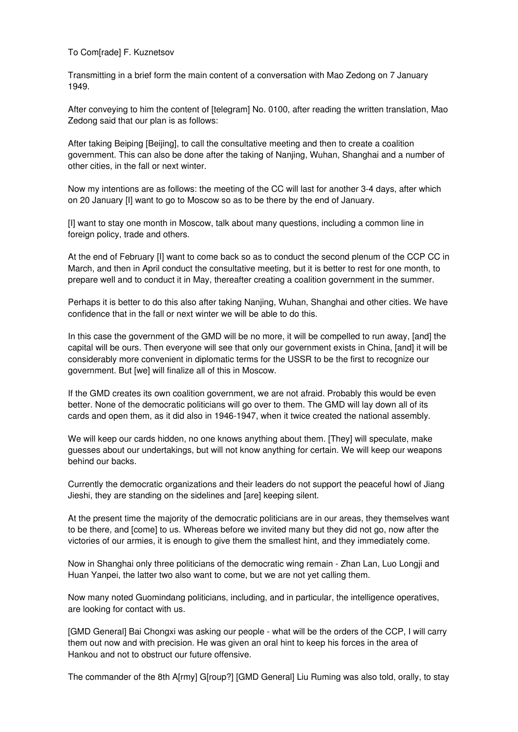To Com[rade] F. Kuznetsov

Transmitting in a brief form the main content of a conversation with Mao Zedong on 7 January 1949.

After conveying to him the content of [telegram] No. 0100, after reading the written translation, Mao Zedong said that our plan is as follows:

After taking Beiping [Beijing], to call the consultative meeting and then to create a coalition government. This can also be done after the taking of Nanjing, Wuhan, Shanghai and a number of other cities, in the fall or next winter.

Now my intentions are as follows: the meeting of the CC will last for another 3-4 days, after which on 20 January [I] want to go to Moscow so as to be there by the end of January.

[I] want to stay one month in Moscow, talk about many questions, including a common line in foreign policy, trade and others.

At the end of February [I] want to come back so as to conduct the second plenum of the CCP CC in March, and then in April conduct the consultative meeting, but it is better to rest for one month, to prepare well and to conduct it in May, thereafter creating a coalition government in the summer.

Perhaps it is better to do this also after taking Nanjing, Wuhan, Shanghai and other cities. We have confidence that in the fall or next winter we will be able to do this.

In this case the government of the GMD will be no more, it will be compelled to run away, [and] the capital will be ours. Then everyone will see that only our government exists in China, [and] it will be considerably more convenient in diplomatic terms for the USSR to be the first to recognize our government. But [we] will finalize all of this in Moscow.

If the GMD creates its own coalition government, we are not afraid. Probably this would be even better. None of the democratic politicians will go over to them. The GMD will lay down all of its cards and open them, as it did also in 1946-1947, when it twice created the national assembly.

We will keep our cards hidden, no one knows anything about them. [They] will speculate, make guesses about our undertakings, but will not know anything for certain. We will keep our weapons behind our backs.

Currently the democratic organizations and their leaders do not support the peaceful howl of Jiang Jieshi, they are standing on the sidelines and [are] keeping silent.

At the present time the majority of the democratic politicians are in our areas, they themselves want to be there, and [come] to us. Whereas before we invited many but they did not go, now after the victories of our armies, it is enough to give them the smallest hint, and they immediately come.

Now in Shanghai only three politicians of the democratic wing remain - Zhan Lan, Luo Longji and Huan Yanpei, the latter two also want to come, but we are not yet calling them.

Now many noted Guomindang politicians, including, and in particular, the intelligence operatives, are looking for contact with us.

[GMD General] Bai Chongxi was asking our people - what will be the orders of the CCP, I will carry them out now and with precision. He was given an oral hint to keep his forces in the area of Hankou and not to obstruct our future offensive.

The commander of the 8th A[rmy] G[roup?] [GMD General] Liu Ruming was also told, orally, to stay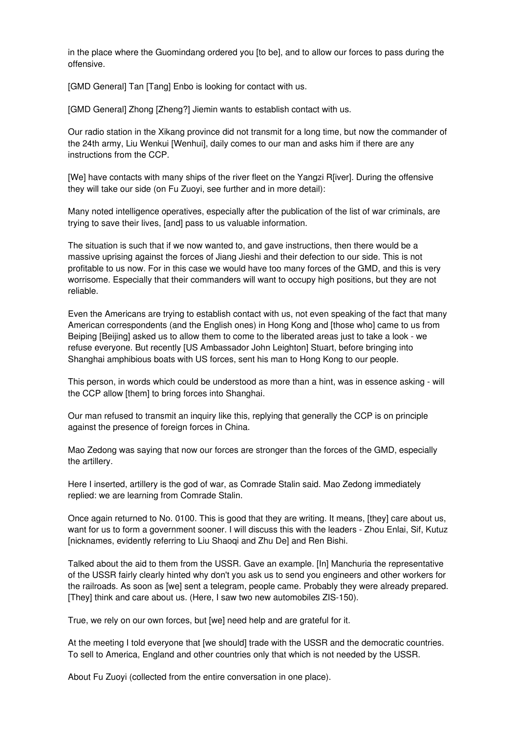in the place where the Guomindang ordered you [to be], and to allow our forces to pass during the offensive.

[GMD General] Tan [Tang] Enbo is looking for contact with us.

[GMD General] Zhong [Zheng?] Jiemin wants to establish contact with us.

Our radio station in the Xikang province did not transmit for a long time, but now the commander of the 24th army, Liu Wenkui [Wenhui], daily comes to our man and asks him if there are any instructions from the CCP.

[We] have contacts with many ships of the river fleet on the Yangzi R[iver]. During the offensive they will take our side (on Fu Zuoyi, see further and in more detail):

Many noted intelligence operatives, especially after the publication of the list of war criminals, are trying to save their lives, [and] pass to us valuable information.

The situation is such that if we now wanted to, and gave instructions, then there would be a massive uprising against the forces of Jiang Jieshi and their defection to our side. This is not profitable to us now. For in this case we would have too many forces of the GMD, and this is very worrisome. Especially that their commanders will want to occupy high positions, but they are not reliable.

Even the Americans are trying to establish contact with us, not even speaking of the fact that many American correspondents (and the English ones) in Hong Kong and [those who] came to us from Beiping [Beijing] asked us to allow them to come to the liberated areas just to take a look - we refuse everyone. But recently [US Ambassador John Leighton] Stuart, before bringing into Shanghai amphibious boats with US forces, sent his man to Hong Kong to our people.

This person, in words which could be understood as more than a hint, was in essence asking - will the CCP allow [them] to bring forces into Shanghai.

Our man refused to transmit an inquiry like this, replying that generally the CCP is on principle against the presence of foreign forces in China.

Mao Zedong was saying that now our forces are stronger than the forces of the GMD, especially the artillery.

Here I inserted, artillery is the god of war, as Comrade Stalin said. Mao Zedong immediately replied: we are learning from Comrade Stalin.

Once again returned to No. 0100. This is good that they are writing. It means, [they] care about us, want for us to form a government sooner. I will discuss this with the leaders - Zhou Enlai, Sif, Kutuz [nicknames, evidently referring to Liu Shaoqi and Zhu De] and Ren Bishi.

Talked about the aid to them from the USSR. Gave an example. [In] Manchuria the representative of the USSR fairly clearly hinted why don't you ask us to send you engineers and other workers for the railroads. As soon as [we] sent a telegram, people came. Probably they were already prepared. [They] think and care about us. (Here, I saw two new automobiles ZIS-150).

True, we rely on our own forces, but [we] need help and are grateful for it.

At the meeting I told everyone that [we should] trade with the USSR and the democratic countries. To sell to America, England and other countries only that which is not needed by the USSR.

About Fu Zuoyi (collected from the entire conversation in one place).